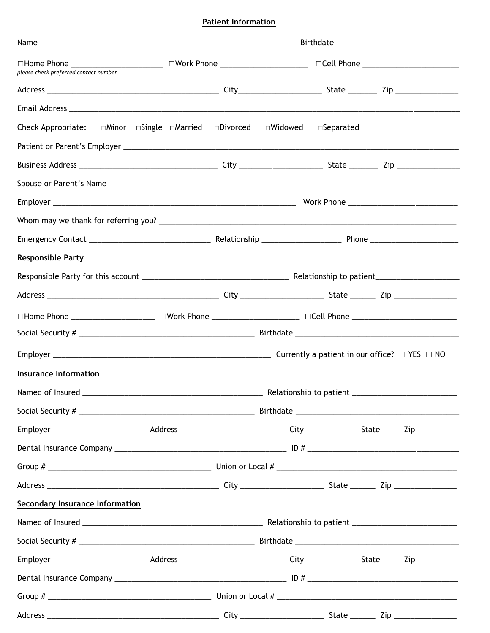## **Patient Information**

| □Home Phone ________________________ □Work Phone _______________________________ □Cell Phone _______________________<br>please check preferred contact number |                                                           |                         |                     |  |  |
|---------------------------------------------------------------------------------------------------------------------------------------------------------------|-----------------------------------------------------------|-------------------------|---------------------|--|--|
|                                                                                                                                                               |                                                           |                         |                     |  |  |
|                                                                                                                                                               |                                                           |                         |                     |  |  |
| Check Appropriate:                                                                                                                                            | $\Box$ Minor $\Box$ Single $\Box$ Married $\Box$ Divorced | □Widowed                | $\square$ Separated |  |  |
|                                                                                                                                                               |                                                           |                         |                     |  |  |
|                                                                                                                                                               |                                                           |                         |                     |  |  |
|                                                                                                                                                               |                                                           |                         |                     |  |  |
|                                                                                                                                                               |                                                           |                         |                     |  |  |
|                                                                                                                                                               |                                                           |                         |                     |  |  |
|                                                                                                                                                               |                                                           |                         |                     |  |  |
| <b>Responsible Party</b>                                                                                                                                      |                                                           |                         |                     |  |  |
|                                                                                                                                                               |                                                           |                         |                     |  |  |
|                                                                                                                                                               |                                                           |                         |                     |  |  |
| □Home Phone ___________________ □Work Phone ___________________ □Cell Phone _______________________                                                           |                                                           |                         |                     |  |  |
|                                                                                                                                                               |                                                           |                         |                     |  |  |
|                                                                                                                                                               |                                                           |                         |                     |  |  |
| <b>Insurance Information</b>                                                                                                                                  |                                                           |                         |                     |  |  |
| Named of Insured                                                                                                                                              |                                                           | Relationship to patient |                     |  |  |
|                                                                                                                                                               |                                                           |                         |                     |  |  |
|                                                                                                                                                               |                                                           |                         |                     |  |  |
|                                                                                                                                                               |                                                           |                         |                     |  |  |
|                                                                                                                                                               |                                                           |                         |                     |  |  |
|                                                                                                                                                               |                                                           |                         |                     |  |  |
| <b>Secondary Insurance Information</b>                                                                                                                        |                                                           |                         |                     |  |  |
|                                                                                                                                                               |                                                           |                         |                     |  |  |
|                                                                                                                                                               |                                                           |                         |                     |  |  |
|                                                                                                                                                               |                                                           |                         |                     |  |  |
|                                                                                                                                                               |                                                           |                         |                     |  |  |
|                                                                                                                                                               |                                                           |                         |                     |  |  |
|                                                                                                                                                               |                                                           |                         |                     |  |  |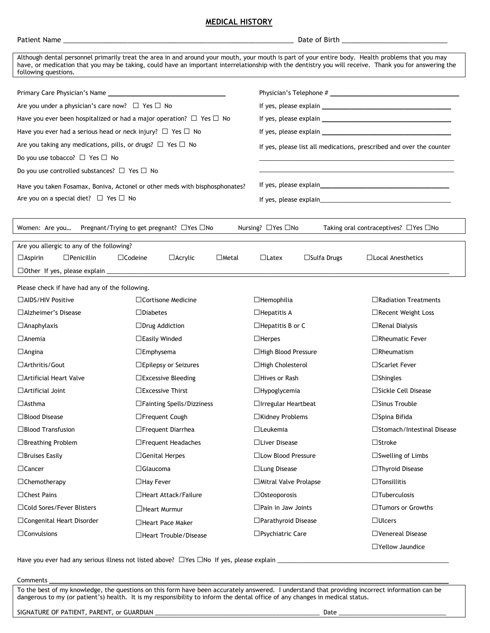## **MEDICAL HISTORY**

| Although dental personnel primarily treat the area in and around your mouth, your mouth is part of your entire body. Health problems that you may<br>have, or medication that you may be taking, could have an important interrelationship with the dentistry you will receive. Thank you for answering the<br>following questions. |                                                       |                                                                      |                                                  |  |  |  |
|-------------------------------------------------------------------------------------------------------------------------------------------------------------------------------------------------------------------------------------------------------------------------------------------------------------------------------------|-------------------------------------------------------|----------------------------------------------------------------------|--------------------------------------------------|--|--|--|
|                                                                                                                                                                                                                                                                                                                                     |                                                       |                                                                      |                                                  |  |  |  |
|                                                                                                                                                                                                                                                                                                                                     |                                                       |                                                                      |                                                  |  |  |  |
| Are you under a physician's care now? $\Box$ Yes $\Box$ No                                                                                                                                                                                                                                                                          |                                                       |                                                                      |                                                  |  |  |  |
| Have you ever been hospitalized or had a major operation? $\Box$ Yes $\Box$ No                                                                                                                                                                                                                                                      |                                                       | If yes, please explain                                               |                                                  |  |  |  |
| Have you ever had a serious head or neck injury? $\Box$ Yes $\Box$ No                                                                                                                                                                                                                                                               |                                                       |                                                                      |                                                  |  |  |  |
| Are you taking any medications, pills, or drugs? $\Box$ Yes $\Box$ No                                                                                                                                                                                                                                                               |                                                       | If yes, please list all medications, prescribed and over the counter |                                                  |  |  |  |
| Do you use tobacco? $\Box$ Yes $\Box$ No                                                                                                                                                                                                                                                                                            |                                                       |                                                                      |                                                  |  |  |  |
| Do you use controlled substances? $\Box$ Yes $\Box$ No                                                                                                                                                                                                                                                                              |                                                       |                                                                      |                                                  |  |  |  |
| Have you taken Fosamax, Boniva, Actonel or other meds with bisphosphonates?                                                                                                                                                                                                                                                         |                                                       |                                                                      |                                                  |  |  |  |
| Are you on a special diet? $\Box$ Yes $\Box$ No                                                                                                                                                                                                                                                                                     |                                                       |                                                                      |                                                  |  |  |  |
|                                                                                                                                                                                                                                                                                                                                     |                                                       |                                                                      |                                                  |  |  |  |
| Women: Are you                                                                                                                                                                                                                                                                                                                      | Pregnant/Trying to get pregnant? $\Box$ Yes $\Box$ No | Nursing? □Yes □No                                                    | Taking oral contraceptives? $\Box$ Yes $\Box$ No |  |  |  |
| Are you allergic to any of the following?                                                                                                                                                                                                                                                                                           |                                                       |                                                                      |                                                  |  |  |  |
| $\Box$ Aspirin<br>$\Box$ Penicillin                                                                                                                                                                                                                                                                                                 | $\Box$ Codeine<br>$\Box$ Metal<br>$\Box$ Acrylic      | $\Box$ Latex<br>$\Box$ Sulfa Drugs                                   | $\Box$ Local Anesthetics                         |  |  |  |
|                                                                                                                                                                                                                                                                                                                                     |                                                       |                                                                      |                                                  |  |  |  |
|                                                                                                                                                                                                                                                                                                                                     |                                                       |                                                                      |                                                  |  |  |  |
| Please check if have had any of the following.<br>$\Box$ AIDS/HIV Positive                                                                                                                                                                                                                                                          | $\Box$ Cortisone Medicine                             | $\Box$ Hemophilia                                                    | $\Box$ Radiation Treatments                      |  |  |  |
| $\Box$ Alzheimer's Disease                                                                                                                                                                                                                                                                                                          | $\square$ Diabetes                                    | $\Box$ Hepatitis A                                                   | □Recent Weight Loss                              |  |  |  |
| $\Box$ Anaphylaxis                                                                                                                                                                                                                                                                                                                  | $\Box$ Drug Addiction                                 | $\Box$ Hepatitis B or C                                              | $\Box$ Renal Dialysis                            |  |  |  |
| $\Box$ Anemia                                                                                                                                                                                                                                                                                                                       | $\Box$ Easily Winded                                  | $\Box$ Herpes                                                        | $\Box$ Rheumatic Fever                           |  |  |  |
|                                                                                                                                                                                                                                                                                                                                     |                                                       | $\Box$ High Blood Pressure                                           | $\Box$ Rheumatism                                |  |  |  |
| $\Box$ Angina<br>$\Box$ Arthritis/Gout                                                                                                                                                                                                                                                                                              | $\square$ Emphysema                                   | $\Box$ High Cholesterol                                              | □Scarlet Fever                                   |  |  |  |
| $\Box$ Artificial Heart Valve                                                                                                                                                                                                                                                                                                       | $\square$ Epilepsy or Seizures                        | $\Box$ Hives or Rash                                                 |                                                  |  |  |  |
|                                                                                                                                                                                                                                                                                                                                     | $\Box$ Excessive Bleeding                             |                                                                      | $\Box$ Shingles<br>□Sickle Cell Disease          |  |  |  |
| $\Box$ Artificial Joint                                                                                                                                                                                                                                                                                                             | $\Box$ Excessive Thirst                               | $\Box$ Hypoglycemia                                                  |                                                  |  |  |  |
| $\Box$ Asthma                                                                                                                                                                                                                                                                                                                       | $\Box$ Fainting Spells/Dizziness                      | $\Box$ Irregular Heartbeat                                           | $\square$ Sinus Trouble                          |  |  |  |
| □Blood Disease                                                                                                                                                                                                                                                                                                                      | □Frequent Cough                                       | □Kidney Problems                                                     | $\Box$ Spina Bifida                              |  |  |  |
| $\Box$ Blood Transfusion                                                                                                                                                                                                                                                                                                            | □Frequent Diarrhea                                    | $\Box$ Leukemia                                                      | □Stomach/Intestinal Disease                      |  |  |  |
| □Breathing Problem                                                                                                                                                                                                                                                                                                                  | $\Box$ Frequent Headaches                             | □Liver Disease                                                       | $\square$ Stroke                                 |  |  |  |
| $\Box$ Bruises Easily                                                                                                                                                                                                                                                                                                               | $\Box$ Genital Herpes                                 | □ Low Blood Pressure                                                 | $\Box$ Swelling of Limbs                         |  |  |  |
| $\Box$ Cancer                                                                                                                                                                                                                                                                                                                       | $\Box$ Glaucoma                                       | □ Lung Disease                                                       | □Thyroid Disease                                 |  |  |  |
| $\Box$ Chemotherapy                                                                                                                                                                                                                                                                                                                 | $\Box$ Hay Fever                                      | □ Mitral Valve Prolapse                                              | $\Box$ Tonsillitis                               |  |  |  |
| $\Box$ Chest Pains                                                                                                                                                                                                                                                                                                                  | □Heart Attack/Failure                                 | $\Box$ Osteoporosis                                                  | $\Box$ Tuberculosis                              |  |  |  |
| □ Cold Sores/Fever Blisters                                                                                                                                                                                                                                                                                                         | $\Box$ Heart Murmur                                   | $\Box$ Pain in Jaw Joints                                            | □Tumors or Growths                               |  |  |  |
| □ Congenital Heart Disorder                                                                                                                                                                                                                                                                                                         | □Heart Pace Maker                                     | □ Parathyroid Disease                                                | $\Box$ Ulcers                                    |  |  |  |
| $\Box$ Convulsions                                                                                                                                                                                                                                                                                                                  | □Heart Trouble/Disease                                | □Psychiatric Care                                                    | □Venereal Disease                                |  |  |  |
|                                                                                                                                                                                                                                                                                                                                     |                                                       |                                                                      | □Yellow Jaundice                                 |  |  |  |

Have you ever had any serious illness not listed above? □Yes □No If yes, please explain \_\_\_\_\_\_\_\_\_\_\_\_\_\_\_\_\_\_\_\_\_\_\_\_\_\_\_\_\_

Comments \_\_\_\_\_\_\_\_\_\_\_\_\_\_\_\_\_\_\_\_\_\_\_\_\_\_\_\_\_\_\_\_\_\_\_\_\_\_\_\_\_\_\_\_\_\_\_\_\_\_\_\_\_\_\_\_\_\_\_\_\_\_\_\_\_\_\_\_

To the best of my knowledge, the questions on this form have been accurately answered. I understand that providing incorrect information can be dangerous to my (or patient's) health. It is my responsibility to inform the dental office of any changes in medical status.